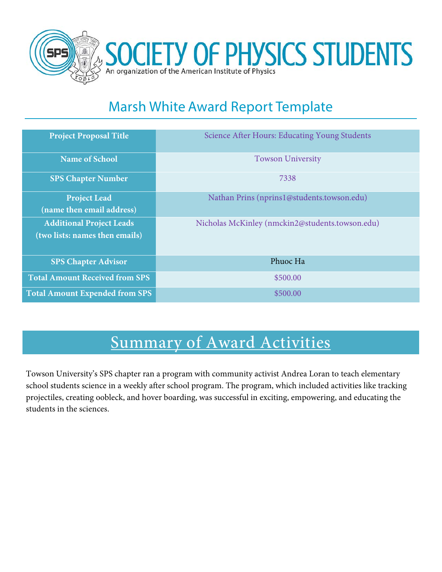

## Marsh White Award Report Template

| <b>Project Proposal Title</b>         | Science After Hours: Educating Young Students   |  |  |
|---------------------------------------|-------------------------------------------------|--|--|
| <b>Name of School</b>                 | <b>Towson University</b>                        |  |  |
| <b>SPS Chapter Number</b>             | 7338                                            |  |  |
| <b>Project Lead</b>                   | Nathan Prins (nprins 1@students.towson.edu)     |  |  |
| (name then email address)             |                                                 |  |  |
| <b>Additional Project Leads</b>       | Nicholas McKinley (nmckin2@students.towson.edu) |  |  |
| (two lists: names then emails)        |                                                 |  |  |
|                                       |                                                 |  |  |
| <b>SPS Chapter Advisor</b>            | Phuoc Ha                                        |  |  |
| <b>Total Amount Received from SPS</b> | \$500.00                                        |  |  |
| <b>Total Amount Expended from SPS</b> | \$500.00                                        |  |  |

# Summary of Award Activities

Towson University's SPS chapter ran a program with community activist Andrea Loran to teach elementary school students science in a weekly after school program. The program, which included activities like tracking projectiles, creating oobleck, and hover boarding, was successful in exciting, empowering, and educating the students in the sciences.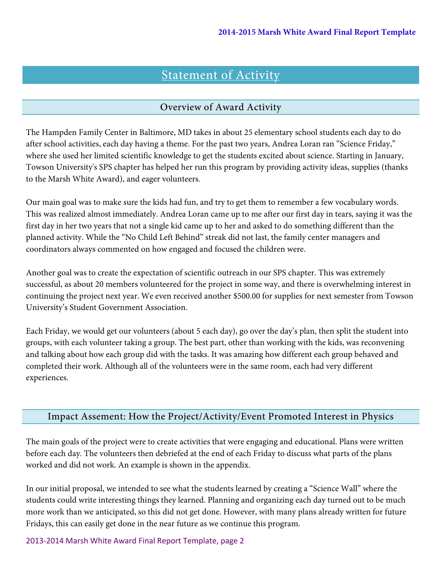## Statement of Activity

#### Overview of Award Activity

The Hampden Family Center in Baltimore, MD takes in about 25 elementary school students each day to do after school activities, each day having a theme. For the past two years, Andrea Loran ran "Science Friday," where she used her limited scientific knowledge to get the students excited about science. Starting in January, Towson University's SPS chapter has helped her run this program by providing activity ideas, supplies (thanks to the Marsh White Award), and eager volunteers.

Our main goal was to make sure the kids had fun, and try to get them to remember a few vocabulary words. This was realized almost immediately. Andrea Loran came up to me after our first day in tears, saying it was the first day in her two years that not a single kid came up to her and asked to do something different than the planned activity. While the "No Child Left Behind" streak did not last, the family center managers and coordinators always commented on how engaged and focused the children were.

Another goal was to create the expectation of scientific outreach in our SPS chapter. This was extremely successful, as about 20 members volunteered for the project in some way, and there is overwhelming interest in continuing the project next year. We even received another \$500.00 for supplies for next semester from Towson University's Student Government Association.

Each Friday, we would get our volunteers (about 5 each day), go over the day's plan, then split the student into groups, with each volunteer taking a group. The best part, other than working with the kids, was reconvening and talking about how each group did with the tasks. It was amazing how different each group behaved and completed their work. Although all of the volunteers were in the same room, each had very different experiences.

#### Impact Assement: How the Project/Activity/Event Promoted Interest in Physics

The main goals of the project were to create activities that were engaging and educational. Plans were written before each day. The volunteers then debriefed at the end of each Friday to discuss what parts of the plans worked and did not work. An example is shown in the appendix.

In our initial proposal, we intended to see what the students learned by creating a "Science Wall" where the students could write interesting things they learned. Planning and organizing each day turned out to be much more work than we anticipated, so this did not get done. However, with many plans already written for future Fridays, this can easily get done in the near future as we continue this program.

2013-2014 Marsh White Award Final Report Template, page 2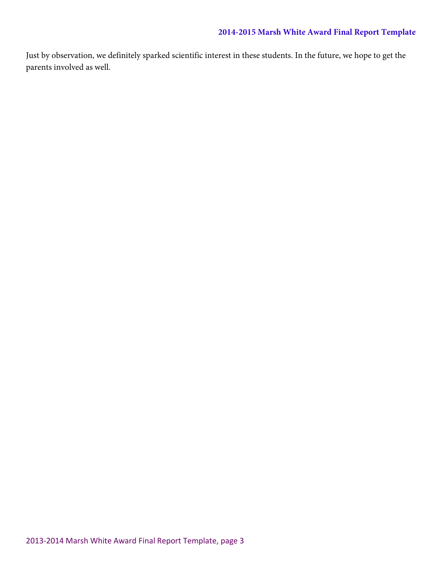#### **2014-2015 Marsh White Award Final Report Template**

Just by observation, we definitely sparked scientific interest in these students. In the future, we hope to get the parents involved as well.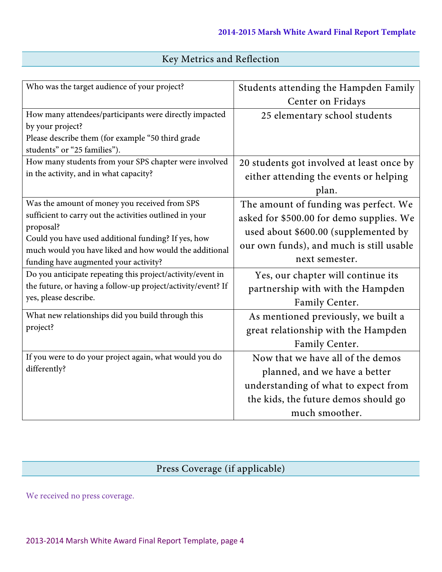|  |  |  | Key Metrics and Reflection |
|--|--|--|----------------------------|
|--|--|--|----------------------------|

| Who was the target audience of your project?                                                                  | Students attending the Hampden Family     |  |  |
|---------------------------------------------------------------------------------------------------------------|-------------------------------------------|--|--|
|                                                                                                               | Center on Fridays                         |  |  |
| How many attendees/participants were directly impacted                                                        | 25 elementary school students             |  |  |
| by your project?                                                                                              |                                           |  |  |
| Please describe them (for example "50 third grade                                                             |                                           |  |  |
| students" or "25 families").                                                                                  |                                           |  |  |
| How many students from your SPS chapter were involved                                                         | 20 students got involved at least once by |  |  |
| in the activity, and in what capacity?                                                                        | either attending the events or helping    |  |  |
|                                                                                                               | plan.                                     |  |  |
| Was the amount of money you received from SPS                                                                 | The amount of funding was perfect. We     |  |  |
| sufficient to carry out the activities outlined in your                                                       | asked for \$500.00 for demo supplies. We  |  |  |
| proposal?                                                                                                     | used about \$600.00 (supplemented by      |  |  |
| Could you have used additional funding? If yes, how<br>much would you have liked and how would the additional | our own funds), and much is still usable  |  |  |
| funding have augmented your activity?                                                                         | next semester.                            |  |  |
| Do you anticipate repeating this project/activity/event in                                                    | Yes, our chapter will continue its        |  |  |
| the future, or having a follow-up project/activity/event? If                                                  | partnership with with the Hampden         |  |  |
| yes, please describe.                                                                                         | Family Center.                            |  |  |
| What new relationships did you build through this                                                             | As mentioned previously, we built a       |  |  |
| project?                                                                                                      | great relationship with the Hampden       |  |  |
|                                                                                                               | Family Center.                            |  |  |
| If you were to do your project again, what would you do                                                       | Now that we have all of the demos         |  |  |
| differently?                                                                                                  | planned, and we have a better             |  |  |
|                                                                                                               | understanding of what to expect from      |  |  |
|                                                                                                               | the kids, the future demos should go      |  |  |
|                                                                                                               | much smoother.                            |  |  |

## Press Coverage (if applicable)

We received no press coverage.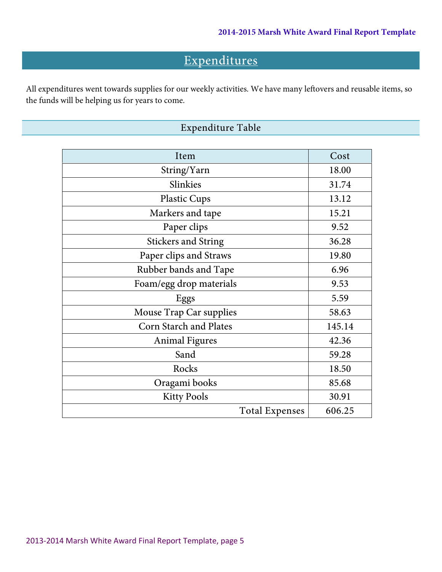## Expenditures

All expenditures went towards supplies for our weekly activities. We have many leftovers and reusable items, so the funds will be helping us for years to come.

### Expenditure Table

| Item                          | Cost   |
|-------------------------------|--------|
| String/Yarn                   | 18.00  |
| Slinkies                      | 31.74  |
| <b>Plastic Cups</b>           | 13.12  |
| Markers and tape              | 15.21  |
| Paper clips                   | 9.52   |
| <b>Stickers and String</b>    | 36.28  |
| Paper clips and Straws        | 19.80  |
| Rubber bands and Tape         | 6.96   |
| Foam/egg drop materials       | 9.53   |
| Eggs                          | 5.59   |
| Mouse Trap Car supplies       | 58.63  |
| <b>Corn Starch and Plates</b> | 145.14 |
| <b>Animal Figures</b>         | 42.36  |
| Sand                          | 59.28  |
| Rocks                         | 18.50  |
| Oragami books                 | 85.68  |
| <b>Kitty Pools</b>            | 30.91  |
| <b>Total Expenses</b>         | 606.25 |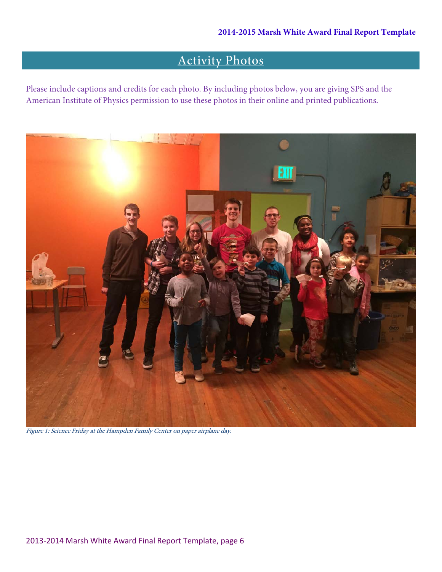## Activity Photos

Please include captions and credits for each photo. By including photos below, you are giving SPS and the American Institute of Physics permission to use these photos in their online and printed publications.



Figure 1: Science Friday at the Hampden Family Center on paper airplane day.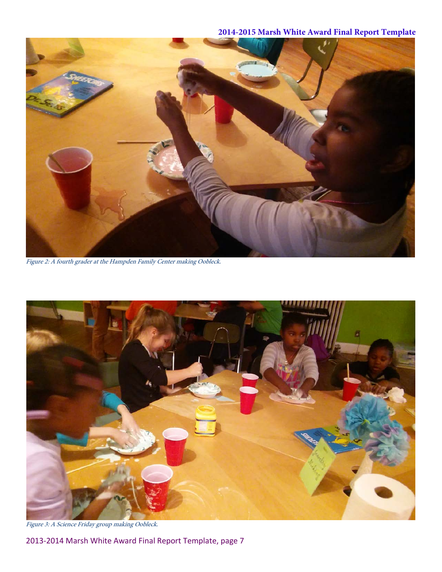#### **2014-2015 Marsh White Award Final Report Template**



Figure 2: A fourth grader at the Hampden Family Center making Oobleck.



Figure 3: A Science Friday group making Oobleck.

2013-2014 Marsh White Award Final Report Template, page 7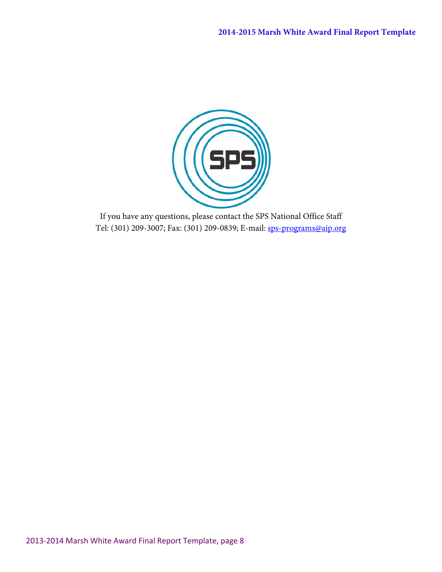

If you have any questions, please contact the SPS National Office Staff Tel: (301) 209-3007; Fax: (301) 209-0839; E-mail: [sps-programs@aip.org](mailto:sps-programs@aip.org)